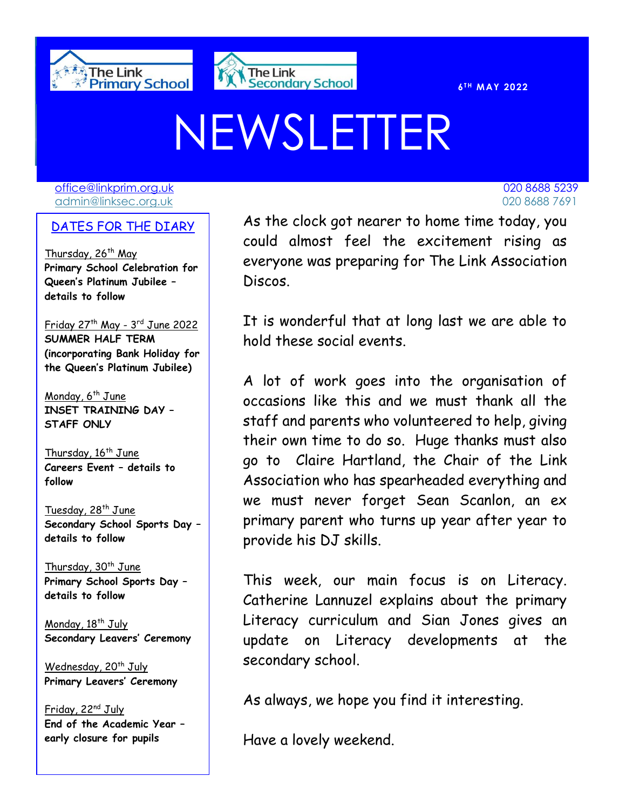



 $6$ <sup>TH</sup> **MAY** 2022

# NEWSLETTER

[office@linkprim.org.uk](mailto:office@linkprim.org.uk) 020 8688 5239 admin@linksec.org.uk 020 8688 7691

### DATES FOR THE DIARY

Thursday, 26<sup>th</sup> May **Primary School Celebration for Queen's Platinum Jubilee – details to follow** 

Friday 27th May - 3 rd June 2022 **SUMMER HALF TERM (incorporating Bank Holiday for the Queen's Platinum Jubilee)**

Monday,  $6^{th}$  June **INSET TRAINING DAY – STAFF ONLY**

Thursday, 16<sup>th</sup> June **Careers Event – details to follow**

Tuesday, 28<sup>th</sup> June **Secondary School Sports Day – details to follow**

Thursday,  $30<sup>th</sup>$  June **Primary School Sports Day – details to follow**

Monday, 18<sup>th</sup> July **Secondary Leavers' Ceremony**

Wednesday, 20<sup>th</sup> July **Primary Leavers' Ceremony**

Friday, 22<sup>nd</sup> July **End of the Academic Year – early closure for pupils**

 $\overline{O$ ATES FOR THE DTARY As the clock got nearer to home time today, you could almost feel the excitement rising as everyone was preparing for The Link Association Discos.

> It is wonderful that at long last we are able to hold these social events.

> A lot of work goes into the organisation of occasions like this and we must thank all the staff and parents who volunteered to help, giving their own time to do so. Huge thanks must also go to Claire Hartland, the Chair of the Link Association who has spearheaded everything and we must never forget Sean Scanlon, an ex primary parent who turns up year after year to provide his DJ skills.

> This week, our main focus is on Literacy. Catherine Lannuzel explains about the primary Literacy curriculum and Sian Jones gives an update on Literacy developments at the secondary school.

As always, we hope you find it interesting.

Have a lovely weekend.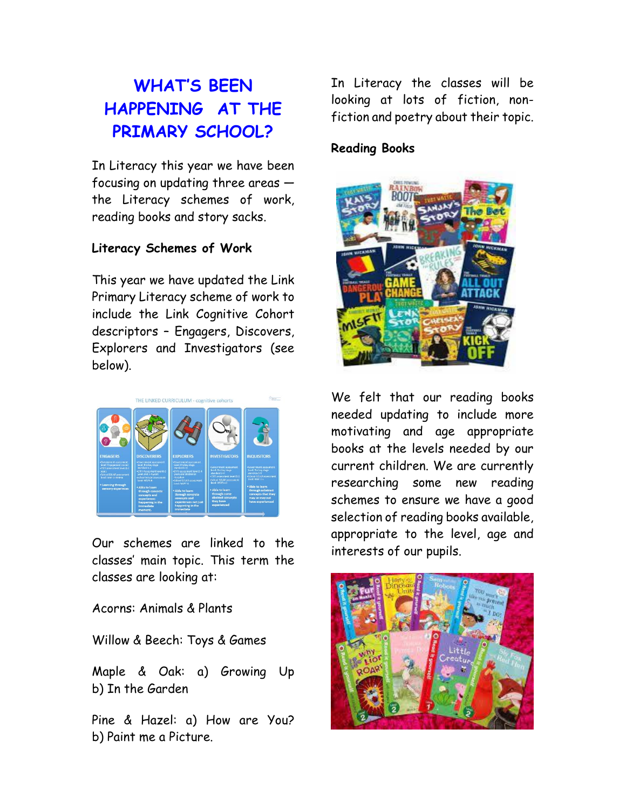# **WHAT'S BEEN HAPPENING AT THE PRIMARY SCHOOL?**

In Literacy this year we have been focusing on updating three areas the Literacy schemes of work, reading books and story sacks.

#### **Literacy Schemes of Work**

This year we have updated the Link Primary Literacy scheme of work to include the Link Cognitive Cohort descriptors – Engagers, Discovers, Explorers and Investigators (see below).



Our schemes are linked to the classes' main topic. This term the classes are looking at:

Acorns: Animals & Plants

Willow & Beech: Toys & Games

Maple & Oak: a) Growing Up b) In the Garden

Pine & Hazel: a) How are You? b) Paint me a Picture.

In Literacy the classes will be looking at lots of fiction, nonfiction and poetry about their topic.

### **Reading Books**



We felt that our reading books needed updating to include more motivating and age appropriate books at the levels needed by our current children. We are currently researching some new reading schemes to ensure we have a good selection of reading books available, appropriate to the level, age and interests of our pupils.

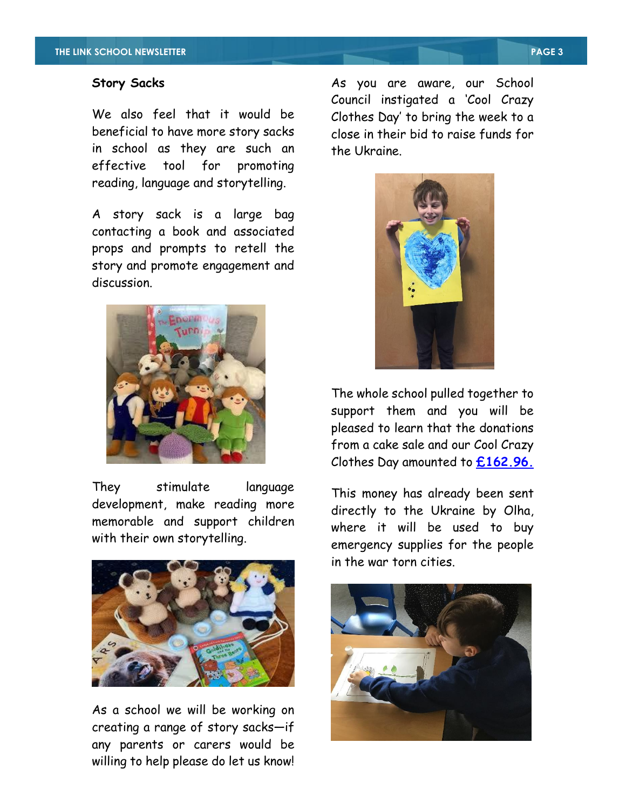#### **Story Sacks**

We also feel that it would be beneficial to have more story sacks in school as they are such an effective tool for promoting reading, language and storytelling.

A story sack is a large bag contacting a book and associated props and prompts to retell the story and promote engagement and discussion.



They stimulate language development, make reading more memorable and support children with their own storytelling.



As a school we will be working on creating a range of story sacks—if any parents or carers would be willing to help please do let us know! As you are aware, our School Council instigated a 'Cool Crazy Clothes Day' to bring the week to a close in their bid to raise funds for the Ukraine.



The whole school pulled together to support them and you will be pleased to learn that the donations from a cake sale and our Cool Crazy Clothes Day amounted to **£162.96.**

This money has already been sent directly to the Ukraine by Olha, where it will be used to buy emergency supplies for the people in the war torn cities.

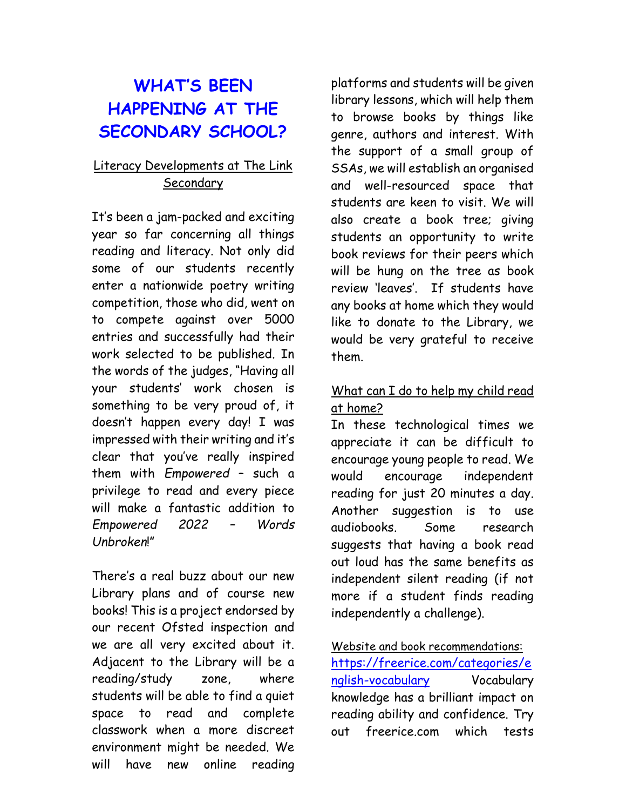# **WHAT'S BEEN HAPPENING AT THE SECONDARY SCHOOL?**

## Literacy Developments at The Link Secondary

It's been a jam-packed and exciting year so far concerning all things reading and literacy. Not only did some of our students recently enter a nationwide poetry writing competition, those who did, went on to compete against over 5000 entries and successfully had their work selected to be published. In the words of the judges, "Having all your students' work chosen is something to be very proud of, it doesn't happen every day! I was impressed with their writing and it's clear that you've really inspired them with *Empowered* – such a privilege to read and every piece will make a fantastic addition to *Empowered 2022 – Words Unbroken*!"

There's a real buzz about our new Library plans and of course new books! This is a project endorsed by our recent Ofsted inspection and we are all very excited about it. Adjacent to the Library will be a reading/study zone, where students will be able to find a quiet space to read and complete classwork when a more discreet environment might be needed. We will have new online reading

platforms and students will be given library lessons, which will help them to browse books by things like genre, authors and interest. With the support of a small group of SSAs, we will establish an organised and well-resourced space that students are keen to visit. We will also create a book tree; giving students an opportunity to write book reviews for their peers which will be hung on the tree as book review 'leaves'. If students have any books at home which they would like to donate to the Library, we would be very grateful to receive them.

## What can I do to help my child read at home?

In these technological times we appreciate it can be difficult to encourage young people to read. We would encourage independent reading for just 20 minutes a day. Another suggestion is to use audiobooks. Some research suggests that having a book read out loud has the same benefits as independent silent reading (if not more if a student finds reading independently a challenge).

#### Website and book recommendations:

[https://freerice.com/categories/e](https://freerice.com/categories/english-vocabulary) [nglish-vocabulary](https://freerice.com/categories/english-vocabulary) Vocabulary knowledge has a brilliant impact on reading ability and confidence. Try out freerice.com which tests